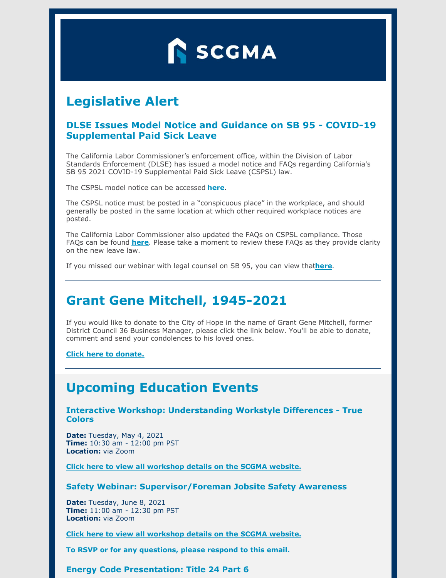

# **Legislative Alert**

#### **DLSE Issues Model Notice and Guidance on SB 95 - COVID-19 Supplemental Paid Sick Leave**

The California Labor Commissioner's enforcement office, within the Division of Labor Standards Enforcement (DLSE) has issued a model notice and FAQs regarding California's SB 95 2021 COVID-19 Supplemental Paid Sick Leave (CSPSL) law.

The CSPSL model notice can be accessed **[here](https://www.dir.ca.gov/dlse/2021-COVID-19-Supplemental-Paid-Sick-Leave.pdf)**.

The CSPSL notice must be posted in a "conspicuous place" in the workplace, and should generally be posted in the same location at which other required workplace notices are posted.

The California Labor Commissioner also updated the FAQs on CSPSL compliance. Those FAQs can be found **[here](https://www.dir.ca.gov/dlse/COVID19Resources/FAQ-for-SPSL-2021.html)**. Please take a moment to review these FAQs as they provide clarity on the new leave law.

If you missed our webinar with legal counsel on SB 95, you can view that**[here](https://www.scgma.com/past-events/)**.

### **Grant Gene Mitchell, 1945-2021**

If you would like to donate to the City of Hope in the name of Grant Gene Mitchell, former District Council 36 Business Manager, please click the link below. You'll be able to donate, comment and send your condolences to his loved ones.

**Click here to [donate.](https://ourhope.cityofhope.org/fundraiser/3171753)**

## **Upcoming Education Events**

**Interactive Workshop: Understanding Workstyle Differences - True Colors**

**Date:** Tuesday, May 4, 2021 **Time:** 10:30 am - 12:00 pm PST **Location:** via Zoom

**Click here to view all [workshop](https://www.scgma.com/upcoming-event-true-colors/) details on the SCGMA website.**

**Safety Webinar: Supervisor/Foreman Jobsite Safety Awareness**

**Date:** Tuesday, June 8, 2021 **Time:** 11:00 am - 12:30 pm PST **Location:** via Zoom

**Click here to view all [workshop](https://www.scgma.com/upcoming-event-safety-webinar/) details on the SCGMA website.**

**To RSVP or for any questions, please respond to this email.**

**Energy Code Presentation: Title 24 Part 6**